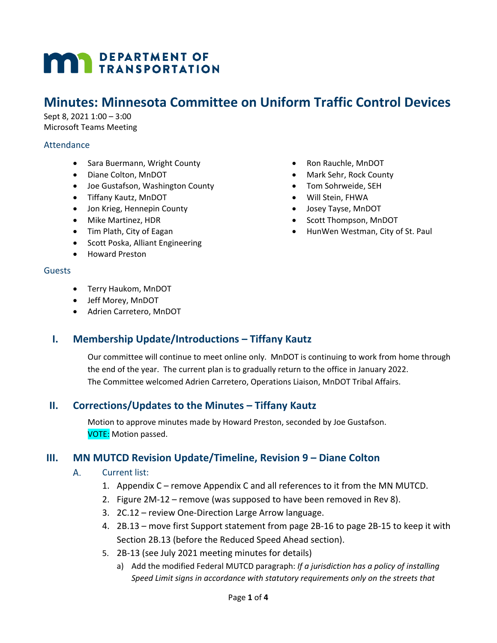# **MAN** DEPARTMENT OF

## **Minutes: Minnesota Committee on Uniform Traffic Control Devices**

Sept 8, 2021 1:00 – 3:00 Microsoft Teams Meeting

## Attendance

- Sara Buermann, Wright County
- Diane Colton, MnDOT
- Joe Gustafson, Washington County
- Tiffany Kautz, MnDOT
- Jon Krieg, Hennepin County
- Mike Martinez, HDR
- Tim Plath, City of Eagan
- Scott Poska, Alliant Engineering
- Howard Preston

### Guests

- Terry Haukom, MnDOT
- Jeff Morey, MnDOT
- Adrien Carretero, MnDOT

## **I. Membership Update/Introductions – Tiffany Kautz**

Our committee will continue to meet online only. MnDOT is continuing to work from home through the end of the year. The current plan is to gradually return to the office in January 2022. The Committee welcomed Adrien Carretero, Operations Liaison, MnDOT Tribal Affairs.

## **II. Corrections/Updates to the Minutes – Tiffany Kautz**

Motion to approve minutes made by Howard Preston, seconded by Joe Gustafson. VOTE: Motion passed.

## **III. MN MUTCD Revision Update/Timeline, Revision 9 – Diane Colton**

#### Α. Current list:

- 1. Appendix C remove Appendix C and all references to it from the MN MUTCD.
- 2. Figure 2M-12 remove (was supposed to have been removed in Rev 8).
- 3. 2C.12 review One-Direction Large Arrow language.
- 4. 2B.13 move first Support statement from page 2B-16 to page 2B-15 to keep it with Section 2B.13 (before the Reduced Speed Ahead section).
- 5. 2B-13 (see July 2021 meeting minutes for details)
	- a) Add the modified Federal MUTCD paragraph: *If a jurisdiction has a policy of installing Speed Limit signs in accordance with statutory requirements only on the streets that*
- Ron Rauchle, MnDOT
- Mark Sehr, Rock County
- Tom Sohrweide, SEH
- Will Stein, FHWA
- Josey Tayse, MnDOT
- Scott Thompson, MnDOT
- HunWen Westman, City of St. Paul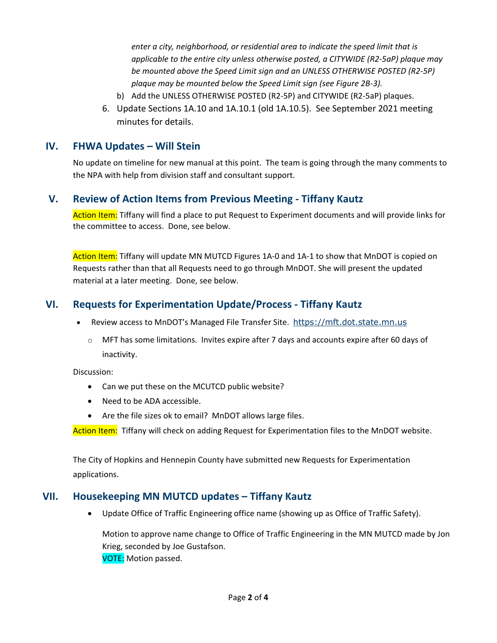*enter a city, neighborhood, or residential area to indicate the speed limit that is applicable to the entire city unless otherwise posted, a CITYWIDE (R2-5aP) plaque may be mounted above the Speed Limit sign and an UNLESS OTHERWISE POSTED (R2-5P) plaque may be mounted below the Speed Limit sign (see Figure 2B-3).*

- b) Add the UNLESS OTHERWISE POSTED (R2-5P) and CITYWIDE (R2-5aP) plaques.
- 6. Update Sections 1A.10 and 1A.10.1 (old 1A.10.5). See September 2021 meeting minutes for details.

## **IV. FHWA Updates – Will Stein**

No update on timeline for new manual at this point. The team is going through the many comments to the NPA with help from division staff and consultant support.

## **V. Review of Action Items from Previous Meeting - Tiffany Kautz**

Action Item: Tiffany will find a place to put Request to Experiment documents and will provide links for the committee to access. Done, see below.

Action Item: Tiffany will update MN MUTCD Figures 1A-0 and 1A-1 to show that MnDOT is copied on Requests rather than that all Requests need to go through MnDOT. She will present the updated material at a later meeting. Done, see below.

## **VI. Requests for Experimentation Update/Process - Tiffany Kautz**

- Review access to MnDOT's Managed File Transfer Site. [https://mft.dot.state.mn.us](https://mft.dot.state.mn.us/)
	- $\circ$  MFT has some limitations. Invites expire after 7 days and accounts expire after 60 days of inactivity.

Discussion:

- Can we put these on the MCUTCD public website?
- Need to be ADA accessible.
- Are the file sizes ok to email? MnDOT allows large files.

Action Item: Tiffany will check on adding Request for Experimentation files to the MnDOT website.

The City of Hopkins and Hennepin County have submitted new Requests for Experimentation applications.

## **VII. Housekeeping MN MUTCD updates – Tiffany Kautz**

• Update Office of Traffic Engineering office name (showing up as Office of Traffic Safety).

Motion to approve name change to Office of Traffic Engineering in the MN MUTCD made by Jon Krieg, seconded by Joe Gustafson. VOTE: Motion passed.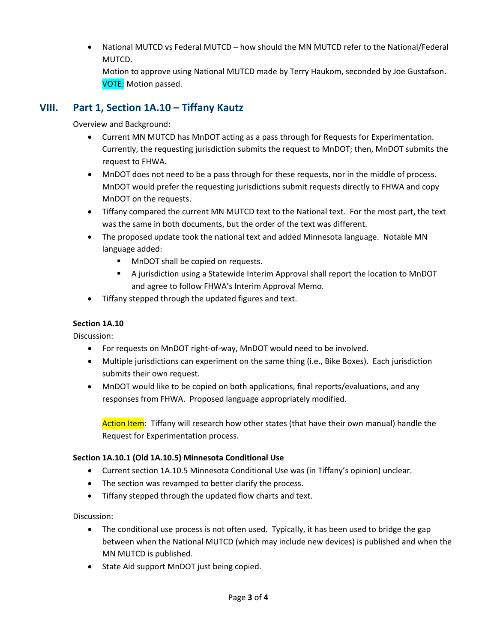• National MUTCD vs Federal MUTCD – how should the MN MUTCD refer to the National/Federal MUTCD.

Motion to approve using National MUTCD made by Terry Haukom, seconded by Joe Gustafson. VOTE: Motion passed.

## **VIII. Part 1, Section 1A.10 – Tiffany Kautz**

Overview and Background:

- Current MN MUTCD has MnDOT acting as a pass through for Requests for Experimentation. Currently, the requesting jurisdiction submits the request to MnDOT; then, MnDOT submits the request to FHWA.
- MnDOT does not need to be a pass through for these requests, nor in the middle of process. MnDOT would prefer the requesting jurisdictions submit requests directly to FHWA and copy MnDOT on the requests.
- Tiffany compared the current MN MUTCD text to the National text. For the most part, the text was the same in both documents, but the order of the text was different.
- The proposed update took the national text and added Minnesota language. Notable MN language added:
	- **MICOUT** shall be copied on requests.
	- A jurisdiction using a Statewide Interim Approval shall report the location to MnDOT and agree to follow FHWA's Interim Approval Memo.
- Tiffany stepped through the updated figures and text.

## **Section 1A.10**

Discussion:

- For requests on MnDOT right-of-way, MnDOT would need to be involved.
- Multiple jurisdictions can experiment on the same thing (i.e., Bike Boxes). Each jurisdiction submits their own request.
- MnDOT would like to be copied on both applications, final reports/evaluations, and any responses from FHWA. Proposed language appropriately modified.

Action Item: Tiffany will research how other states (that have their own manual) handle the Request for Experimentation process.

## **Section 1A.10.1 (Old 1A.10.5) Minnesota Conditional Use**

- Current section 1A.10.5 Minnesota Conditional Use was (in Tiffany's opinion) unclear.
- The section was revamped to better clarify the process.
- Tiffany stepped through the updated flow charts and text.

Discussion:

- The conditional use process is not often used. Typically, it has been used to bridge the gap between when the National MUTCD (which may include new devices) is published and when the MN MUTCD is published.
- State Aid support MnDOT just being copied.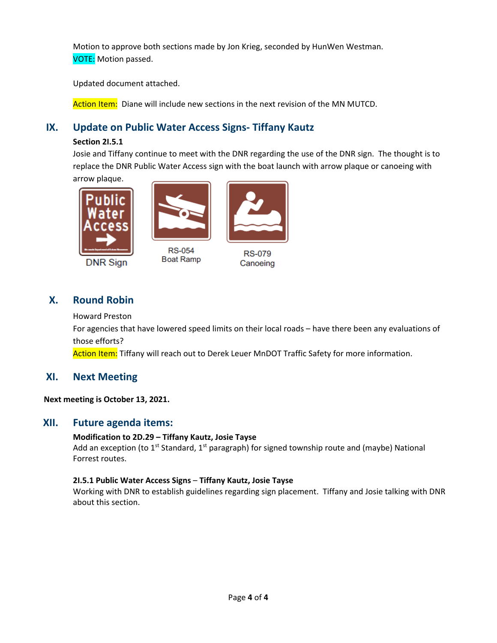Motion to approve both sections made by Jon Krieg, seconded by HunWen Westman. VOTE: Motion passed.

Updated document attached.

Action Item: Diane will include new sections in the next revision of the MN MUTCD.

## **IX. Update on Public Water Access Signs- Tiffany Kautz**

### **Section 2I.5.1**

Josie and Tiffany continue to meet with the DNR regarding the use of the DNR sign. The thought is to replace the DNR Public Water Access sign with the boat launch with arrow plaque or canoeing with arrow plaque.







**DNR Sign** 





**RS-079** Canoeing

## **X. Round Robin**

Howard Preston

For agencies that have lowered speed limits on their local roads – have there been any evaluations of those efforts?

Action Item: Tiffany will reach out to Derek Leuer MnDOT Traffic Safety for more information.

## **XI. Next Meeting**

**Next meeting is October 13, 2021.**

## **XII. Future agenda items:**

## **Modification to 2D.29 – Tiffany Kautz, Josie Tayse**

Add an exception (to 1<sup>st</sup> Standard, 1<sup>st</sup> paragraph) for signed township route and (maybe) National Forrest routes.

## **2I.5.1 Public Water Access Signs** – **Tiffany Kautz, Josie Tayse**

Working with DNR to establish guidelines regarding sign placement. Tiffany and Josie talking with DNR about this section.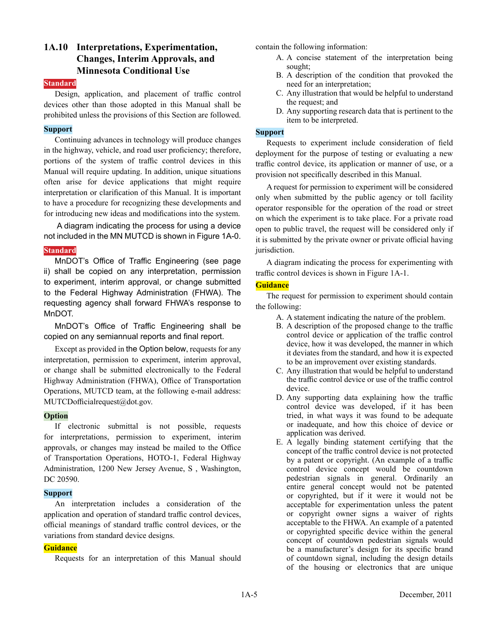## **1A.10 Interpretations, Experimentation, Changes, Interim Approvals, and Minnesota Conditional Use**

#### **Standard**

Design, application, and placement of traffic control devices other than those adopted in this Manual shall be prohibited unless the provisions of this Section are followed.

#### **Support**

Continuing advances in technology will produce changes in the highway, vehicle, and road user proficiency; therefore, portions of the system of traffic control devices in this Manual will require updating. In addition, unique situations often arise for device applications that might require interpretation or clarification of this Manual. It is important to have a procedure for recognizing these developments and for introducing new ideas and modifications into the system.

A diagram indicating the process for using a device not included in the MN MUTCD is shown in Figure 1A-0.

#### **Standard**

MnDOT's Office of Traffic Engineering (see page ii) shall be copied on any interpretation, permission to experiment, interim approval, or change submitted to the Federal Highway Administration (FHWA). The requesting agency shall forward FHWA's response to MnDOT.

MnDOT's Office of Traffic Engineering shall be copied on any semiannual reports and final report.

Except as provided in the Option below, requests for any interpretation, permission to experiment, interim approval, or change shall be submitted electronically to the Federal Highway Administration (FHWA), Office of Transportation Operations, MUTCD team, at the following e-mail address: MUTCDofficialrequest@dot.gov.

#### **Option**

If electronic submittal is not possible, requests for interpretations, permission to experiment, interim approvals, or changes may instead be mailed to the Office of Transportation Operations, HOTO-1, Federal Highway Administration, 1200 New Jersey Avenue, S , Washington, DC 20590.

#### **Support**

An interpretation includes a consideration of the application and operation of standard traffic control devices, official meanings of standard traffic control devices, or the variations from standard device designs.

#### **Guidance**

Requests for an interpretation of this Manual should

contain the following information:

- A. A concise statement of the interpretation being sought;
- B. A description of the condition that provoked the need for an interpretation;
- C. Any illustration that would be helpful to understand the request; and
- D. Any supporting research data that is pertinent to the item to be interpreted.

#### **Support**

Requests to experiment include consideration of field deployment for the purpose of testing or evaluating a new traffic control device, its application or manner of use, or a provision not specifically described in this Manual.

A request for permission to experiment will be considered only when submitted by the public agency or toll facility operator responsible for the operation of the road or street on which the experiment is to take place. For a private road open to public travel, the request will be considered only if it is submitted by the private owner or private official having jurisdiction.

A diagram indicating the process for experimenting with traffic control devices is shown in Figure 1A-1.

#### **Guidance**

The request for permission to experiment should contain the following:

- A. A statement indicating the nature of the problem.
- B. A description of the proposed change to the traffic control device or application of the traffic control device, how it was developed, the manner in which it deviates from the standard, and how it is expected to be an improvement over existing standards.
- C. Any illustration that would be helpful to understand the traffic control device or use of the traffic control device.
- D. Any supporting data explaining how the traffic control device was developed, if it has been tried, in what ways it was found to be adequate or inadequate, and how this choice of device or application was derived.
- E. A legally binding statement certifying that the concept of the traffic control device is not protected by a patent or copyright. (An example of a traffic control device concept would be countdown pedestrian signals in general. Ordinarily an entire general concept would not be patented or copyrighted, but if it were it would not be acceptable for experimentation unless the patent or copyright owner signs a waiver of rights acceptable to the FHWA. An example of a patented or copyrighted specific device within the general concept of countdown pedestrian signals would be a manufacturer's design for its specific brand of countdown signal, including the design details of the housing or electronics that are unique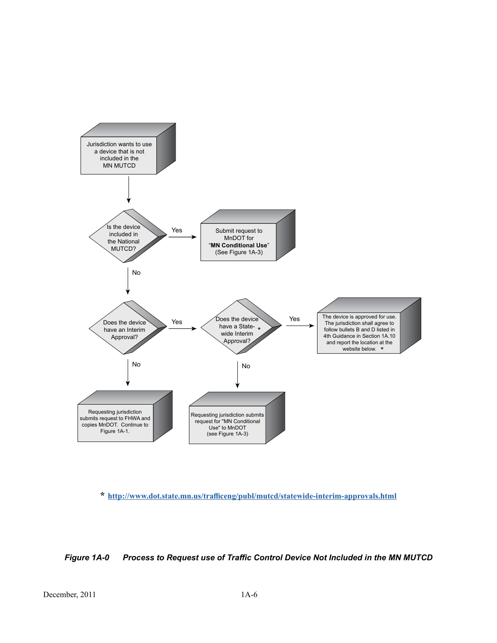

**\* <http://www.dot.state.mn.us/trafficeng/publ/mutcd/statewide-interim-approvals.html>**

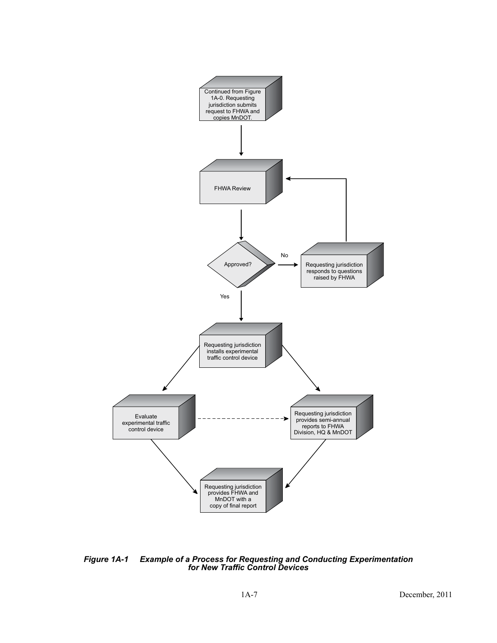

*Figure 1A-1 Example of a Process for Requesting and Conducting Experimentation for New Traffic Control Devices*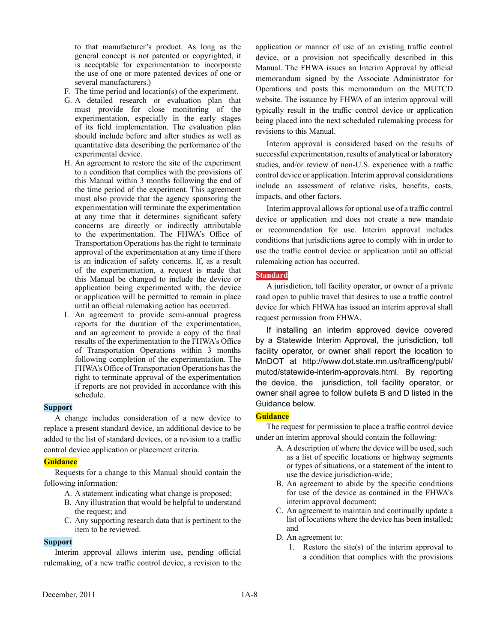to that manufacturer's product. As long as the general concept is not patented or copyrighted, it is acceptable for experimentation to incorporate the use of one or more patented devices of one or several manufacturers.)

- F. The time period and location(s) of the experiment.
- G. A detailed research or evaluation plan that must provide for close monitoring of the experimentation, especially in the early stages of its field implementation. The evaluation plan should include before and after studies as well as quantitative data describing the performance of the experimental device.
- H. An agreement to restore the site of the experiment to a condition that complies with the provisions of this Manual within 3 months following the end of the time period of the experiment. This agreement must also provide that the agency sponsoring the experimentation will terminate the experimentation at any time that it determines significant safety concerns are directly or indirectly attributable to the experimentation. The FHWA's Office of Transportation Operations has the right to terminate approval of the experimentation at any time if there is an indication of safety concerns. lf, as a result of the experimentation, a request is made that this Manual be changed to include the device or application being experimented with, the device or application will be permitted to remain in place until an official rulemaking action has occurred.
- I. An agreement to provide semi-annual progress reports for the duration of the experimentation, and an agreement to provide a copy of the final results of the experimentation to the FHWA's Office of Transportation Operations within 3 months following completion of the experimentation. The FHWA's Office of Transportation Operations hasthe right to terminate approval of the experimentation if reports are not provided in accordance with this schedule.

#### **Support**

A change includes consideration of a new device to replace a present standard device, an additional device to be added to the list of standard devices, or a revision to a traffic control device application or placement criteria.

#### **Guidance**

Requests for a change to this Manual should contain the following information:

- A. A statement indicating what change is proposed;
- B. Any illustration that would be helpful to understand the request; and
- C. Any supporting research data that is pertinent to the item to be reviewed.

#### **Support**

Interim approval allows interim use, pending official rulemaking, of a new traffic control device, a revision to the application or manner of use of an existing traffic control device, or a provision not specifically described in this Manual. The FHWA issues an Interim Approval by official memorandum signed by the Associate Administrator for Operations and posts this memorandum on the MUTCD website. The issuance by FHWA of an interim approval will typically result in the traffic control device or application being placed into the next scheduled rulemaking process for revisions to this Manual.

Interim approval is considered based on the results of successful experimentation, results of analytical or laboratory studies, and/or review of non-U.S. experience with a traffic control device or application. Interim approval considerations include an assessment of relative risks, benefits, costs, impacts, and other factors.

Interim approval allows for optional use of a traffic control device or application and does not create a new mandate or recommendation for use. Interim approval includes conditions that jurisdictions agree to comply with in order to use the traffic control device or application until an official rulemaking action has occurred.

#### **Standard**

A jurisdiction, toll facility operator, or owner of a private road open to public travel that desires to use a traffic control device for which FHWA has issued an interim approval shall request permission from FHWA.

If installing an interim approved device covered by a Statewide Interim Approval, the jurisdiction, toll facility operator, or owner shall report the location to MnDOT at http://www.dot.state.mn.us/trafficeng/publ/ mutcd/statewide-interim-approvals.html. By reporting the device, the jurisdiction, toll facility operator, or owner shall agree to follow bullets B and D listed in the Guidance below.

#### **Guidance**

The request for permission to place a traffic control device under an interim approval should contain the following:

- A. A description of where the device will be used, such as a list of specific locations or highway segments or types of situations, or a statement of the intent to use the device jurisdiction-wide;
- B. An agreement to abide by the specific conditions for use of the device as contained in the FHWA's interim approval document;
- C. An agreement to maintain and continually update a list of locations where the device has been installed; and
- D. An agreement to:
	- 1. Restore the site(s) of the interim approval to a condition that complies with the provisions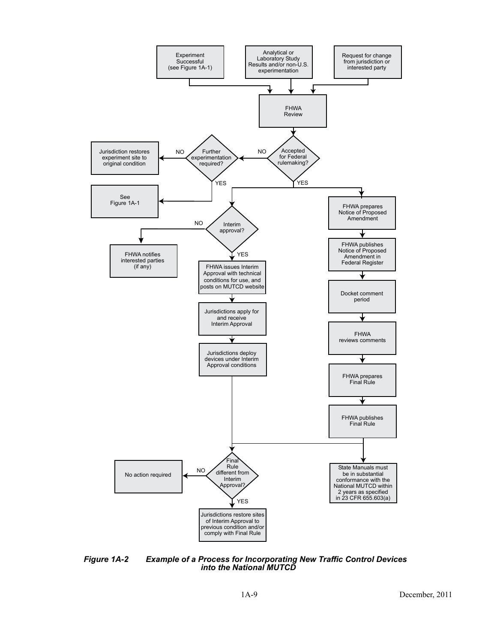

*Figure 1A-2 Example of a Process for Incorporating New Traffic Control Devices into the National MUTCD*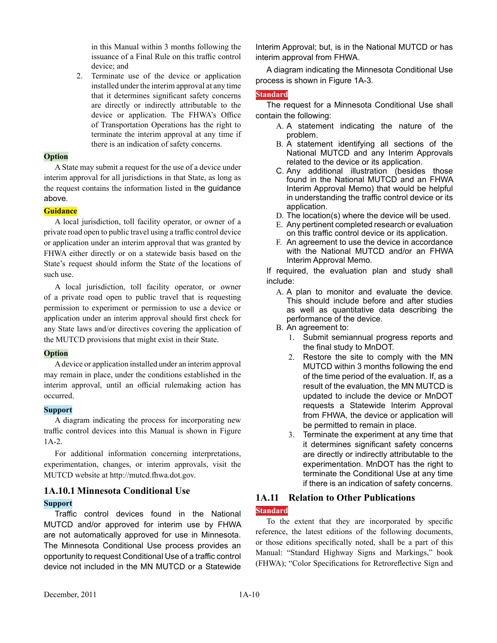in this Manual within 3 months following the issuance of a Final Rule on this traffic control device; and

2. Terminate use of the device or application installed under the interim approval at any time that it determines significant safety concerns are directly or indirectly attributable to the device or application. The FHWA's Office of Transportation Operations has the right to terminate the interim approval at any time if there is an indication of safety concerns.

#### **Option**

A State may submit a request for the use of a device under interim approval for all jurisdictions in that State, as long as the request contains the information listed in the guidance above.

#### **Guidance**

A local jurisdiction, toll facility operator, or owner of a private road open to public travel using a traffic control device or application under an interim approval that was granted by FHWA either directly or on a statewide basis based on the State's request should inform the State of the locations of such use.

A local jurisdiction, toll facility operator, or owner of a private road open to public travel that is requesting permission to experiment or permission to use a device or application under an interim approval should first check for any State laws and/or directives covering the application of the MUTCD provisions that might exist in their State.

#### **Option**

Adevice or application installed under an interim approval may remain in place, under the conditions established in the interim approval, until an official rulemaking action has occurred.

#### **Support**

A diagram indicating the process for incorporating new traffic control devices into this Manual is shown in Figure 1A-2.

For additional information concerning interpretations, experimentation, changes, or interim approvals, visit the MUTCD website at http://mutcd.fhwa.dot.gov.

## **1A.10.1 Minnesota Conditional Use**

#### **Support**

Traffic control devices found in the National MUTCD and/or approved for interim use by FHWA are not automatically approved for use in Minnesota. The Minnesota Conditional Use process provides an opportunity to request Conditional Use of a traffic control device not included in the MN MUTCD or a Statewide

Interim Approval; but, is in the National MUTCD or has interim approval from FHWA.

A diagram indicating the Minnesota Conditional Use process is shown in Figure 1A-3.

#### **Standard**

The request for a Minnesota Conditional Use shall contain the following:

- A. A statement indicating the nature of the problem.
- B. A statement identifying all sections of the National MUTCD and any Interim Approvals related to the device or its application.
- C. Any additional illustration (besides those found in the National MUTCD and an FHWA Interim Approval Memo) that would be helpful in understanding the traffic control device or its application.
- D. The location(s) where the device will be used.
- E. Any pertinent completed research or evaluation on this traffic control device or its application.
- F. An agreement to use the device in accordance with the National MUTCD and/or an FHWA Interim Approval Memo.

If required, the evaluation plan and study shall include:

- A. A plan to monitor and evaluate the device. This should include before and after studies as well as quantitative data describing the performance of the device.
- B. An agreement to:
	- 1. Submit semiannual progress reports and the final study to MnDOT.
	- 2. Restore the site to comply with the MN MUTCD within 3 months following the end of the time period of the evaluation. If, as a result of the evaluation, the MN MUTCD is updated to include the device or MnDOT requests a Statewide Interim Approval from FHWA, the device or application will be permitted to remain in place.
	- 3. Terminate the experiment at any time that it determines significant safety concerns are directly or indirectly attributable to the experimentation. MnDOT has the right to terminate the Conditional Use at any time if there is an indication of safety concerns.

## **1A.11 Relation to Other Publications**

### **Standard**

To the extent that they are incorporated by specific reference, the latest editions of the following documents, or those editions specifically noted, shall be a part of this Manual: "Standard Highway Signs and Markings," book (FHWA); "Color Specifications for Retroreflective Sign and